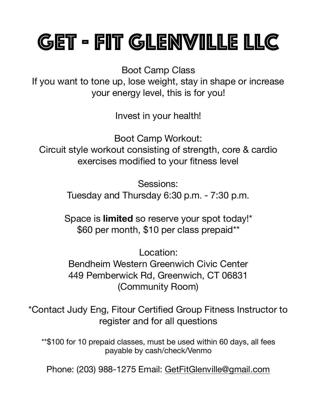# GET - FIT Glenville LLC

Boot Camp Class

If you want to tone up, lose weight, stay in shape or increase your energy level, this is for you!

Invest in your health!

Boot Camp Workout: Circuit style workout consisting of strength, core & cardio exercises modified to your fitness level

> Sessions: Tuesday and Thursday 6:30 p.m. - 7:30 p.m.

Space is **limited** so reserve your spot today!\* \$60 per month, \$10 per class prepaid\*\*

Location: Bendheim Western Greenwich Civic Center 449 Pemberwick Rd, Greenwich, CT 06831 (Community Room)

\*Contact Judy Eng, Fitour Certified Group Fitness Instructor to register and for all questions

\*\*\$100 for 10 prepaid classes, must be used within 60 days, all fees payable by cash/check/Venmo

Phone: (203) 988-1275 Email: [GetFitGlenville@gmail.com](mailto:GetFitGlenville@gmail.com)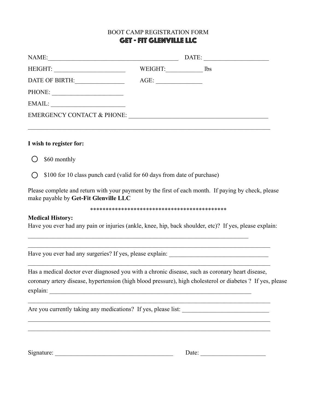## BOOT CAMP REGISTRATION FORM GET - FIT Glenville LLC

| NAME:                                 |         | DATE: |     |
|---------------------------------------|---------|-------|-----|
| HEIGHT:                               | WEIGHT: |       | lbs |
| DATE OF BIRTH:                        | $AGE$ : |       |     |
| PHONE:                                |         |       |     |
| EMAIL:                                |         |       |     |
| <b>EMERGENCY CONTACT &amp; PHONE:</b> |         |       |     |
|                                       |         |       |     |

#### **I wish to register for:**

 $\bigcirc$ \$60 monthly

\$100 for 10 class punch card (valid for 60 days from date of purchase)  $\bigcap$ 

Please complete and return with your payment by the first of each month. If paying by check, please make payable by **Get-Fit Glenville LLC** 

\*\*\*\*\*\*\*\*\*\*\*\*\*\*\*\*\*\*\*\*\*\*\*\*\*\*\*\*\*\*\*\*\*\*\*\*\*\*\*\*\*\*\*\*

#### **Medical History:**

Have you ever had any pain or injuries (ankle, knee, hip, back shoulder, etc)? If yes, please explain:

 $\mathcal{L}_\mathcal{L} = \mathcal{L}_\mathcal{L} = \mathcal{L}_\mathcal{L} = \mathcal{L}_\mathcal{L} = \mathcal{L}_\mathcal{L} = \mathcal{L}_\mathcal{L} = \mathcal{L}_\mathcal{L} = \mathcal{L}_\mathcal{L} = \mathcal{L}_\mathcal{L} = \mathcal{L}_\mathcal{L} = \mathcal{L}_\mathcal{L} = \mathcal{L}_\mathcal{L} = \mathcal{L}_\mathcal{L} = \mathcal{L}_\mathcal{L} = \mathcal{L}_\mathcal{L} = \mathcal{L}_\mathcal{L} = \mathcal{L}_\mathcal{L}$ 

 $\mathcal{L}_\mathcal{L} = \{ \mathcal{L}_\mathcal{L} = \{ \mathcal{L}_\mathcal{L} = \{ \mathcal{L}_\mathcal{L} = \{ \mathcal{L}_\mathcal{L} = \{ \mathcal{L}_\mathcal{L} = \{ \mathcal{L}_\mathcal{L} = \{ \mathcal{L}_\mathcal{L} = \{ \mathcal{L}_\mathcal{L} = \{ \mathcal{L}_\mathcal{L} = \{ \mathcal{L}_\mathcal{L} = \{ \mathcal{L}_\mathcal{L} = \{ \mathcal{L}_\mathcal{L} = \{ \mathcal{L}_\mathcal{L} = \{ \mathcal{L}_\mathcal{$ 

 $\mathcal{L}_\mathcal{L} = \{ \mathcal{L}_\mathcal{L} = \{ \mathcal{L}_\mathcal{L} = \{ \mathcal{L}_\mathcal{L} = \{ \mathcal{L}_\mathcal{L} = \{ \mathcal{L}_\mathcal{L} = \{ \mathcal{L}_\mathcal{L} = \{ \mathcal{L}_\mathcal{L} = \{ \mathcal{L}_\mathcal{L} = \{ \mathcal{L}_\mathcal{L} = \{ \mathcal{L}_\mathcal{L} = \{ \mathcal{L}_\mathcal{L} = \{ \mathcal{L}_\mathcal{L} = \{ \mathcal{L}_\mathcal{L} = \{ \mathcal{L}_\mathcal{$ 

 $\mathcal{L}_\mathcal{L} = \{ \mathcal{L}_\mathcal{L} = \{ \mathcal{L}_\mathcal{L} = \{ \mathcal{L}_\mathcal{L} = \{ \mathcal{L}_\mathcal{L} = \{ \mathcal{L}_\mathcal{L} = \{ \mathcal{L}_\mathcal{L} = \{ \mathcal{L}_\mathcal{L} = \{ \mathcal{L}_\mathcal{L} = \{ \mathcal{L}_\mathcal{L} = \{ \mathcal{L}_\mathcal{L} = \{ \mathcal{L}_\mathcal{L} = \{ \mathcal{L}_\mathcal{L} = \{ \mathcal{L}_\mathcal{L} = \{ \mathcal{L}_\mathcal{$  $\mathcal{L}_\mathcal{L} = \{ \mathcal{L}_\mathcal{L} = \{ \mathcal{L}_\mathcal{L} = \{ \mathcal{L}_\mathcal{L} = \{ \mathcal{L}_\mathcal{L} = \{ \mathcal{L}_\mathcal{L} = \{ \mathcal{L}_\mathcal{L} = \{ \mathcal{L}_\mathcal{L} = \{ \mathcal{L}_\mathcal{L} = \{ \mathcal{L}_\mathcal{L} = \{ \mathcal{L}_\mathcal{L} = \{ \mathcal{L}_\mathcal{L} = \{ \mathcal{L}_\mathcal{L} = \{ \mathcal{L}_\mathcal{L} = \{ \mathcal{L}_\mathcal{$ 

 $\mathcal{L}_\text{max}$  , and the contribution of the contribution of the contribution of the contribution of the contribution of the contribution of the contribution of the contribution of the contribution of the contribution of t

Have you ever had any surgeries? If yes, please explain: \_\_\_\_\_\_\_\_\_\_\_\_\_\_\_\_\_\_\_\_\_\_\_\_

Has a medical doctor ever diagnosed you with a chronic disease, such as coronary heart disease, coronary artery disease, hypertension (high blood pressure), high cholesterol or diabetes ? If yes, please explain: \_\_\_\_\_\_\_\_\_\_\_\_\_\_\_\_\_\_\_\_\_\_\_\_\_\_\_\_\_\_\_\_\_\_\_\_\_\_\_\_\_\_\_\_\_\_\_\_\_\_\_\_\_\_\_\_\_\_\_\_\_\_\_\_\_

Are you currently taking any medications? If yes, please list:

Signature:  $\Box$ 

| ate: |  |  |  |  |  |  |  |  |  |  |
|------|--|--|--|--|--|--|--|--|--|--|
|      |  |  |  |  |  |  |  |  |  |  |